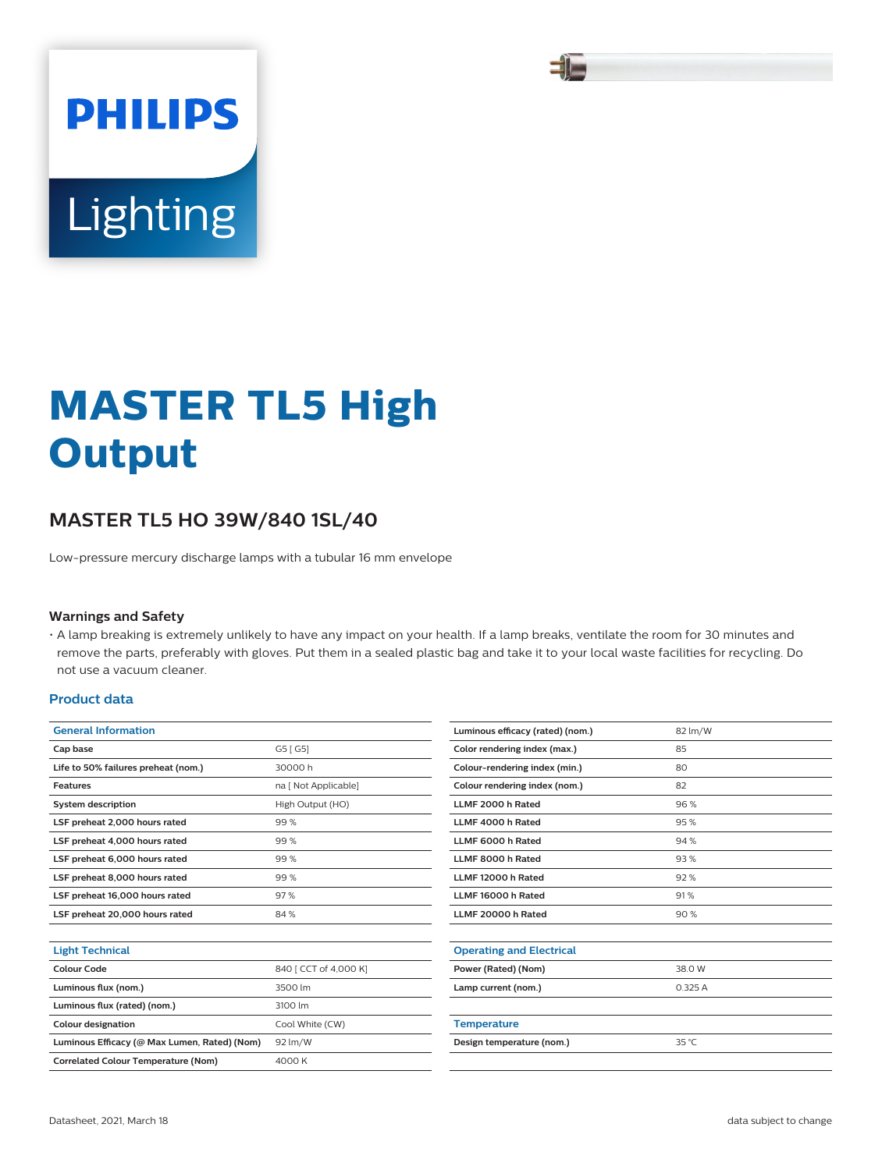

# Lighting

**PHILIPS** 

# **MASTER TL5 High Output**

# **MASTER TL5 HO 39W/840 1SL/40**

Low-pressure mercury discharge lamps with a tubular 16 mm envelope

#### **Warnings and Safety**

• A lamp breaking is extremely unlikely to have any impact on your health. If a lamp breaks, ventilate the room for 30 minutes and remove the parts, preferably with gloves. Put them in a sealed plastic bag and take it to your local waste facilities for recycling. Do not use a vacuum cleaner.

#### **Product data**

| <b>General Information</b>                   |                       |  |  |
|----------------------------------------------|-----------------------|--|--|
| Cap base                                     | G5 [ G5]              |  |  |
| Life to 50% failures preheat (nom.)          | 30000 h               |  |  |
| <b>Features</b>                              | na [ Not Applicable]  |  |  |
| <b>System description</b>                    | High Output (HO)      |  |  |
| LSF preheat 2,000 hours rated                | 99%                   |  |  |
| LSF preheat 4,000 hours rated                | 99%                   |  |  |
| LSF preheat 6,000 hours rated                | 99%                   |  |  |
| LSF preheat 8,000 hours rated                | 99%                   |  |  |
| LSF preheat 16,000 hours rated               | 97%                   |  |  |
| LSF preheat 20,000 hours rated               | 84 %                  |  |  |
|                                              |                       |  |  |
| <b>Light Technical</b>                       |                       |  |  |
| Colour Code                                  | 840   CCT of 4,000 K] |  |  |
| Luminous flux (nom.)                         | 3500 lm               |  |  |
| Luminous flux (rated) (nom.)                 | 3100 lm               |  |  |
| <b>Colour designation</b>                    | Cool White (CW)       |  |  |
| Luminous Efficacy (@ Max Lumen, Rated) (Nom) | 92 lm/W               |  |  |
| <b>Correlated Colour Temperature (Nom)</b>   | 4000 K                |  |  |
|                                              |                       |  |  |

| Luminous efficacy (rated) (nom.) | 82 lm/W        |
|----------------------------------|----------------|
| Color rendering index (max.)     | 85             |
| Colour-rendering index (min.)    | 80             |
| Colour rendering index (nom.)    | 82             |
| LLMF 2000 h Rated                | 96%            |
| LLMF 4000 h Rated                | 95%            |
| LLMF 6000 h Rated                | 94 %           |
| LLMF 8000 h Rated                | 93%            |
| LLMF 12000 h Rated               | 92%            |
| LLMF 16000 h Rated               | 91%            |
| LLMF 20000 h Rated               | 90%            |
|                                  |                |
| <b>Operating and Electrical</b>  |                |
| Power (Rated) (Nom)              | 38.0 W         |
| Lamp current (nom.)              | 0.325A         |
|                                  |                |
| <b>Temperature</b>               |                |
| Design temperature (nom.)        | $35^{\circ}$ C |
|                                  |                |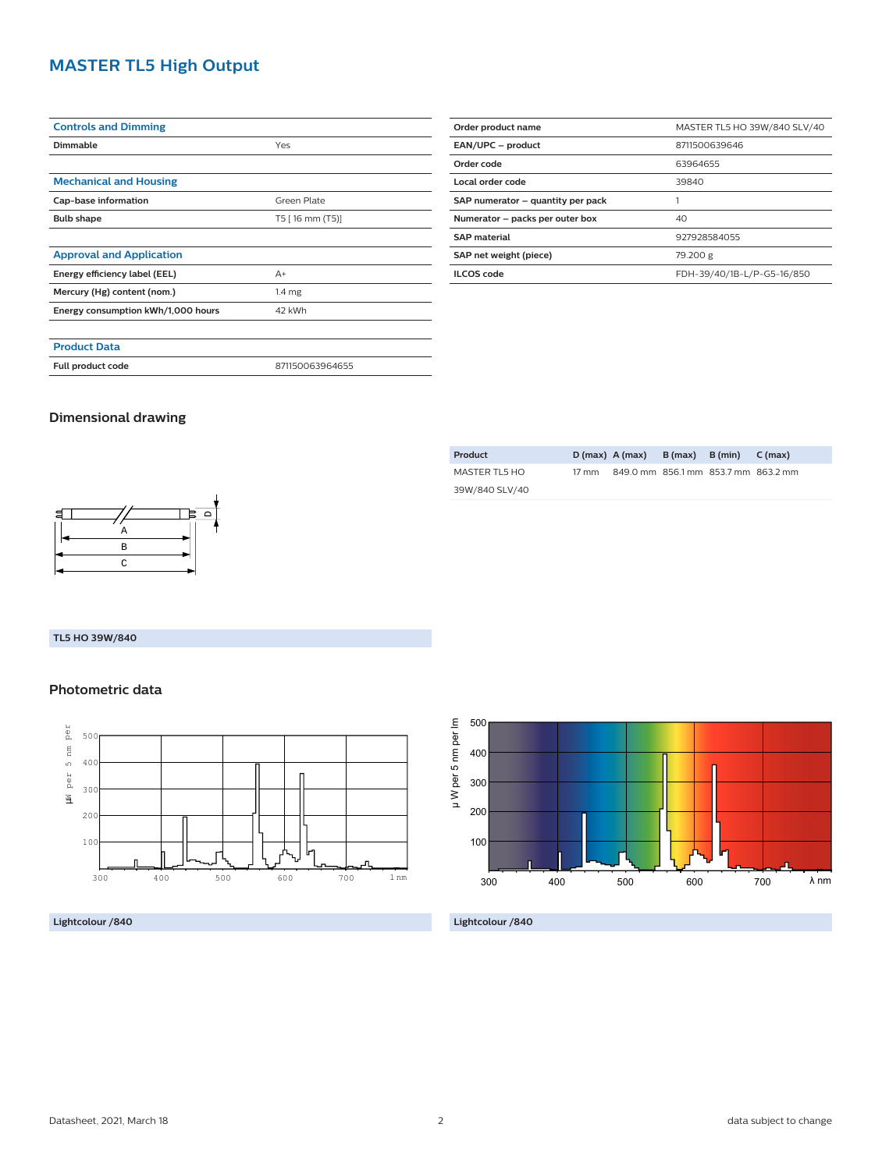# **MASTER TL5 High Output**

| <b>Controls and Dimming</b>                      |                 |  |
|--------------------------------------------------|-----------------|--|
| Dimmable                                         | Yes             |  |
|                                                  |                 |  |
| <b>Mechanical and Housing</b>                    |                 |  |
| Cap-base information                             | Green Plate     |  |
| <b>Bulb shape</b><br>T5 [ 16 mm (T5)]            |                 |  |
|                                                  |                 |  |
| <b>Approval and Application</b>                  |                 |  |
| Energy efficiency label (EEL)                    | $A+$            |  |
| Mercury (Hg) content (nom.)<br>1.4 <sub>mg</sub> |                 |  |
| Energy consumption kWh/1,000 hours               | 42 kWh          |  |
|                                                  |                 |  |
| <b>Product Data</b>                              |                 |  |
| Full product code                                | 871150063964655 |  |

| Order product name                  | MASTER TL5 HO 39W/840 SLV/40 |  |  |
|-------------------------------------|------------------------------|--|--|
| EAN/UPC - product                   | 8711500639646                |  |  |
| Order code                          | 63964655                     |  |  |
| Local order code<br>39840           |                              |  |  |
| SAP numerator - quantity per pack   |                              |  |  |
| Numerator - packs per outer box     | 40                           |  |  |
| <b>SAP material</b><br>927928584055 |                              |  |  |
| SAP net weight (piece)<br>79.200 g  |                              |  |  |
| <b>ILCOS</b> code                   | FDH-39/40/1B-L/P-G5-16/850   |  |  |

### **Dimensional drawing**

| 目 |   |  |
|---|---|--|
|   | Α |  |
|   | B |  |
|   | C |  |
|   |   |  |

### **TL5 HO 39W/840**

## **Photometric data**



**Lightcolour /840**

| Product        |                 | $D(max)$ A (max) B (max) B (min)    |  | $C \text{ (max)}$ |
|----------------|-----------------|-------------------------------------|--|-------------------|
| MASTER TL5 HO  | $17 \text{ mm}$ | 849.0 mm 856.1 mm 853.7 mm 863.2 mm |  |                   |
| 39W/840 SLV/40 |                 |                                     |  |                   |



**Lightcolour /840**